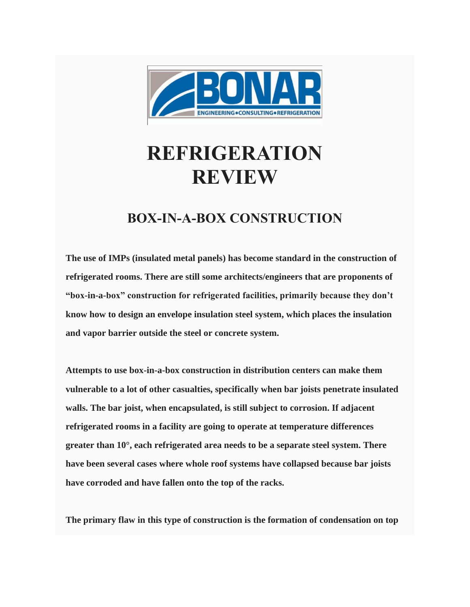

## **REFRIGERATION REVIEW**

## **BOX-IN-A-BOX CONSTRUCTION**

**The use of IMPs (insulated metal panels) has become standard in the construction of refrigerated rooms. There are still some architects/engineers that are proponents of "box-in-a-box" construction for refrigerated facilities, primarily because they don't know how to design an envelope insulation steel system, which places the insulation and vapor barrier outside the steel or concrete system.**

**Attempts to use box-in-a-box construction in distribution centers can make them vulnerable to a lot of other casualties, specifically when bar joists penetrate insulated walls. The bar joist, when encapsulated, is still subject to corrosion. If adjacent refrigerated rooms in a facility are going to operate at temperature differences greater than 10°, each refrigerated area needs to be a separate steel system. There have been several cases where whole roof systems have collapsed because bar joists have corroded and have fallen onto the top of the racks.**

**The primary flaw in this type of construction is the formation of condensation on top**